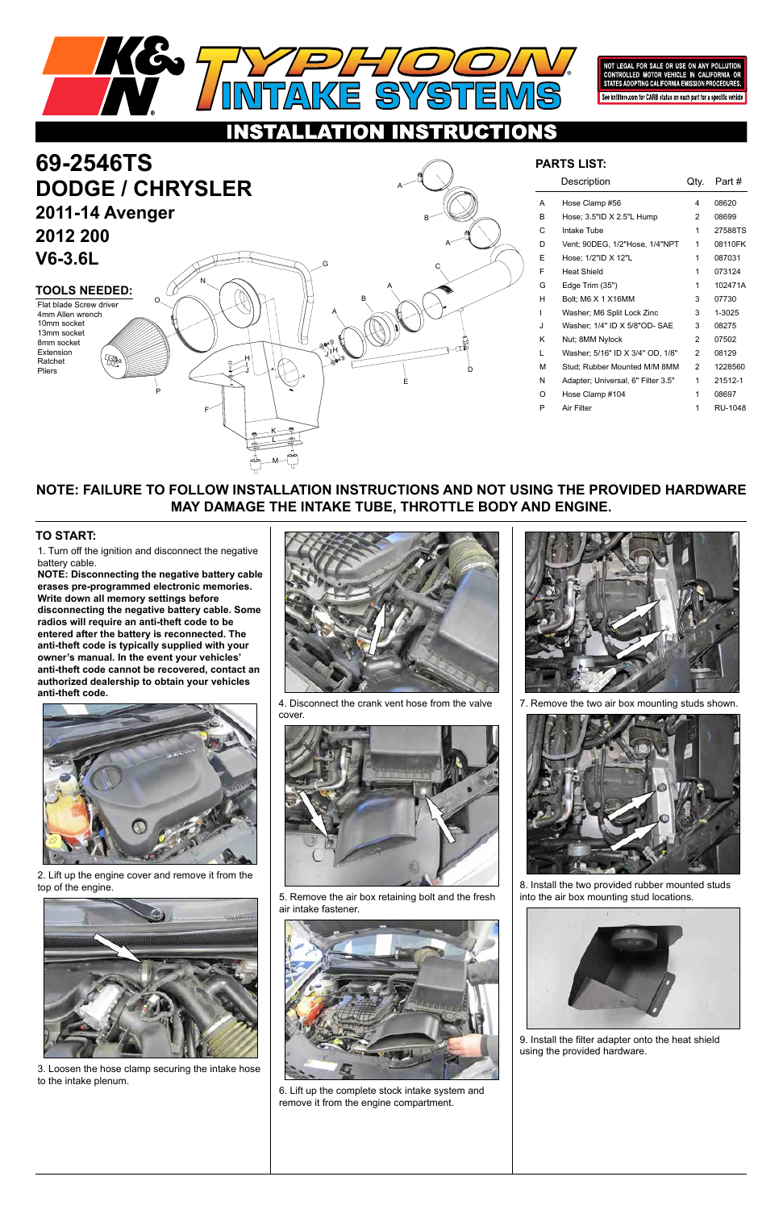1. Turn off the ignition and disconnect the negative battery cable.

# **69-2546TS DODGE / CHRYSLER 2011-14 Avenger**

**NOTE: Disconnecting the negative battery cable erases pre-programmed electronic memories. Write down all memory settings before disconnecting the negative battery cable. Some radios will require an anti-theft code to be entered after the battery is reconnected. The anti-theft code is typically supplied with your owner's manual. In the event your vehicles' anti-theft code cannot be recovered, contact an authorized dealership to obtain your vehicles anti-theft code.**

#### **TO START:**



NOT LEGAL FOR SALE OR USE ON ANY POLLUTION CONTROLLED MOTOR VEHICLE IN CALIFOR STATES ADOPTING CALIFORNIA EMISSION PROCEDU See knfilters.com for CARB status on each part for a specific vehicle

#### TIONS C.  $\bullet$

## **2012 200 V6-3.6L**

#### **NOTE: FAILURE TO FOLLOW INSTALLATION INSTRUCTIONS AND NOT USING THE PROVIDED HARDWARE MAY DAMAGE THE INTAKE TUBE, THROTTLE BODY AND ENGINE.**

**TOOLS NEEDED:** Flat blade Screw driver 4mm Allen wrench 10mm socket

|    | Description                        | Qty.          | Part #  |
|----|------------------------------------|---------------|---------|
| A  | Hose Clamp #56                     | 4             | 08620   |
| B. | Hose; 3.5"ID X 2.5"L Hump          | 2             | 08699   |
| С  | Intake Tube                        | 1             | 27588TS |
| D  | Vent; 90DEG, 1/2"Hose, 1/4"NPT     | 1             | 08110FK |
| F  | Hose; 1/2"ID X 12"L                | 1             | 087031  |
| F  | <b>Heat Shield</b>                 | 1             | 073124  |
| G  | Edge Trim (35")                    | 1             | 102471A |
| н  | Bolt: M6 X 1 X16MM                 | 3             | 07730   |
| ı  | Washer; M6 Split Lock Zinc         | 3             | 1-3025  |
| J  | Washer; 1/4" ID X 5/8"OD- SAE      | 3             | 08275   |
| κ  | Nut; 8MM Nylock                    | $\mathcal{P}$ | 07502   |
| L  | Washer; 5/16" ID X 3/4" OD, 1/8"   | $\mathcal{P}$ | 08129   |
| м  | Stud; Rubber Mounted M/M 8MM       | $\mathcal{P}$ | 1228560 |
| N  | Adapter; Universal, 6" Filter 3.5" | 1             | 21512-1 |
| Ω  | Hose Clamp #104                    | 1             | 08697   |
| P  | Air Filter                         | 1             | RU-1048 |
|    |                                    |               |         |

#### **PARTS LIST:**

13mm socket 8mm socket Extension Ratchet Pliers



2. Lift up the engine cover and remove it from the top of the engine.

3. Loosen the hose clamp securing the intake hose to the intake plenum.



4. Disconnect the crank vent hose from the valve cover.





5. Remove the air box retaining bolt and the fresh air intake fastener.



6. Lift up the complete stock intake system and remove it from the engine compartment.

E

D

### A B A A C B A  $\begin{matrix} H & H \\ H & H \end{matrix}$ I N G

J

F

K L

M

O

P

7. Remove the two air box mounting studs shown.



8. Install the two provided rubber mounted studs



into the air box mounting stud locations.



9. Install the filter adapter onto the heat shield using the provided hardware.